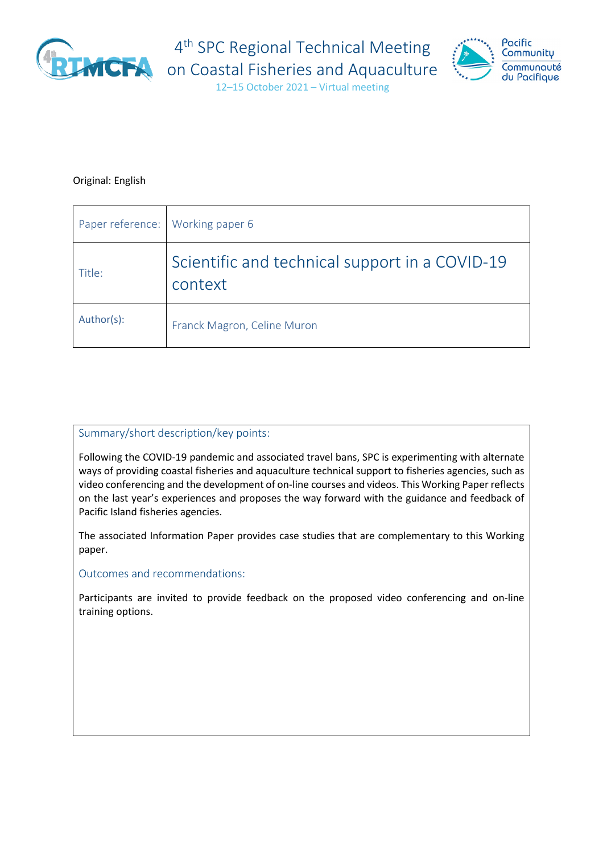

4<sup>th</sup> SPC Regional Technical Meeting



12–15 October 2021 – Virtual meeting

#### Original: English

| Paper reference: Working paper 6 |                                                           |
|----------------------------------|-----------------------------------------------------------|
| Title:                           | Scientific and technical support in a COVID-19<br>context |
| Author(s):                       | Franck Magron, Celine Muron                               |

#### Summary/short description/key points:

Following the COVID-19 pandemic and associated travel bans, SPC is experimenting with alternate ways of providing coastal fisheries and aquaculture technical support to fisheries agencies, such as video conferencing and the development of on-line courses and videos. This Working Paper reflects on the last year's experiences and proposes the way forward with the guidance and feedback of Pacific Island fisheries agencies.

The associated Information Paper provides case studies that are complementary to this Working paper.

Outcomes and recommendations:

Participants are invited to provide feedback on the proposed video conferencing and on-line training options.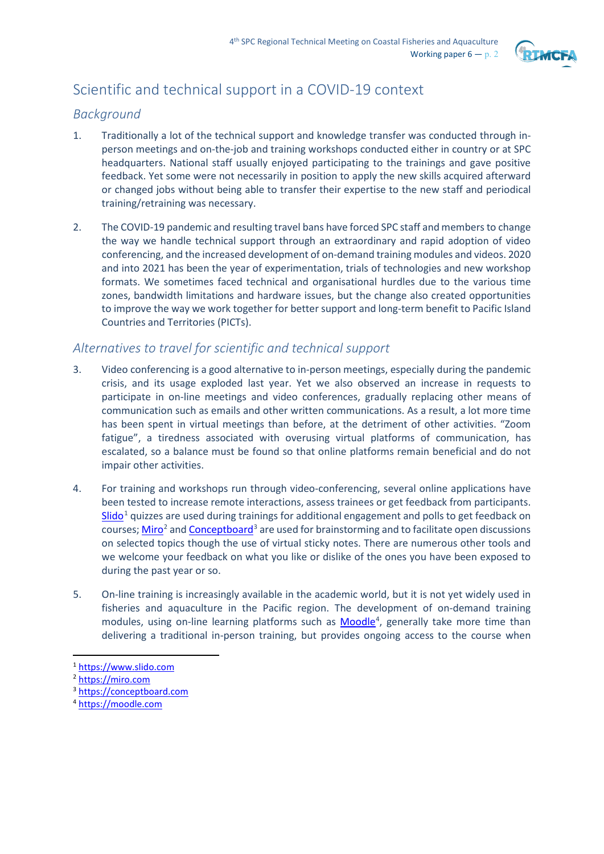

# Scientific and technical support in a COVID-19 context

### *Background*

- 1. Traditionally a lot of the technical support and knowledge transfer was conducted through inperson meetings and on-the-job and training workshops conducted either in country or at SPC headquarters. National staff usually enjoyed participating to the trainings and gave positive feedback. Yet some were not necessarily in position to apply the new skills acquired afterward or changed jobs without being able to transfer their expertise to the new staff and periodical training/retraining was necessary.
- 2. The COVID-19 pandemic and resulting travel bans have forced SPC staff and members to change the way we handle technical support through an extraordinary and rapid adoption of video conferencing, and the increased development of on-demand training modules and videos. 2020 and into 2021 has been the year of experimentation, trials of technologies and new workshop formats. We sometimes faced technical and organisational hurdles due to the various time zones, bandwidth limitations and hardware issues, but the change also created opportunities to improve the way we work together for better support and long-term benefit to Pacific Island Countries and Territories (PICTs).

## *Alternatives to travel for scientific and technical support*

- 3. Video conferencing is a good alternative to in-person meetings, especially during the pandemic crisis, and its usage exploded last year. Yet we also observed an increase in requests to participate in on-line meetings and video conferences, gradually replacing other means of communication such as emails and other written communications. As a result, a lot more time has been spent in virtual meetings than before, at the detriment of other activities. "Zoom fatigue", a tiredness associated with overusing virtual platforms of communication, has escalated, so a balance must be found so that online platforms remain beneficial and do not impair other activities.
- 4. For training and workshops run through video-conferencing, several online applications have been tested to increase remote interactions, assess trainees or get feedback from participants. [Slido](https://www.slido.com/)<sup>[1](#page-1-0)</sup> quizzes are used during trainings for additional engagement and polls to get feedback on courses[; Miro](https://miro.com/)<sup>[2](#page-1-1)</sup> an[d Conceptboard](https://conceptboard.com/)<sup>[3](#page-1-2)</sup> are used for brainstorming and to facilitate open discussions on selected topics though the use of virtual sticky notes. There are numerous other tools and we welcome your feedback on what you like or dislike of the ones you have been exposed to during the past year or so.
- 5. On-line training is increasingly available in the academic world, but it is not yet widely used in fisheries and aquaculture in the Pacific region. The development of on-demand training modules, using on-line learning platforms such as **Moodle**<sup>[4](#page-1-3)</sup>, generally take more time than delivering a traditional in-person training, but provides ongoing access to the course when

<span id="page-1-0"></span><sup>1</sup> [https://www.slido.com](https://www.slido.com/)

<span id="page-1-1"></span><sup>2</sup> [https://miro.com](https://miro.com/)

<span id="page-1-2"></span><sup>3</sup> [https://conceptboard.com](https://conceptboard.com/)

<span id="page-1-3"></span><sup>4</sup> [https://moodle.com](https://moodle.com/)